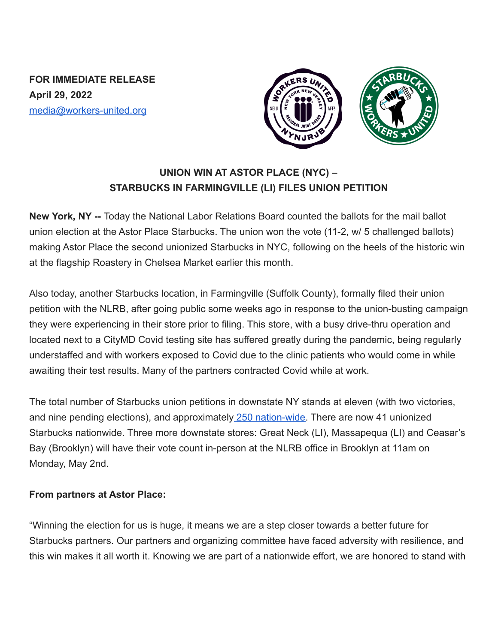**FOR IMMEDIATE RELEASE April 29, 2022** media@workers-united.org



## **UNION WIN AT ASTOR PLACE (NYC) – STARBUCKS IN FARMINGVILLE (LI) FILES UNION PETITION**

**New York, NY --** Today the National Labor Relations Board counted the ballots for the mail ballot union election at the Astor Place Starbucks. The union won the vote (11-2, w/ 5 challenged ballots) making Astor Place the second unionized Starbucks in NYC, following on the heels of the historic win at the flagship Roastery in Chelsea Market earlier this month.

Also today, another Starbucks location, in Farmingville (Suffolk County), formally filed their union petition with the NLRB, after going public some weeks ago in response to the union-busting campaign they were experiencing in their store prior to filing. This store, with a busy drive-thru operation and located next to a CityMD Covid testing site has suffered greatly during the pandemic, being regularly understaffed and with workers exposed to Covid due to the clinic patients who would come in while awaiting their test results. Many of the partners contracted Covid while at work.

The total number of Starbucks union petitions in downstate NY stands at eleven (with two victories, and nine pending elections), and approximately 250 [nation-wide.](https://perfectunion.us/map-where-are-starbucks-workers-unionizing/) There are now 41 unionized Starbucks nationwide. Three more downstate stores: Great Neck (LI), Massapequa (LI) and Ceasar's Bay (Brooklyn) will have their vote count in-person at the NLRB office in Brooklyn at 11am on Monday, May 2nd.

## **From partners at Astor Place:**

"Winning the election for us is huge, it means we are a step closer towards a better future for Starbucks partners. Our partners and organizing committee have faced adversity with resilience, and this win makes it all worth it. Knowing we are part of a nationwide effort, we are honored to stand with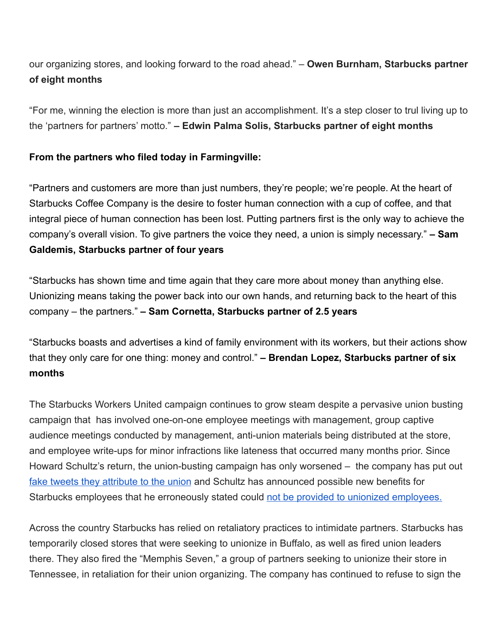our organizing stores, and looking forward to the road ahead." – **Owen Burnham, Starbucks partner of eight months**

"For me, winning the election is more than just an accomplishment. It's a step closer to trul living up to the 'partners for partners' motto." **– Edwin Palma Solis, Starbucks partner of eight months**

## **From the partners who filed today in Farmingville:**

"Partners and customers are more than just numbers, they're people; we're people. At the heart of Starbucks Coffee Company is the desire to foster human connection with a cup of coffee, and that integral piece of human connection has been lost. Putting partners first is the only way to achieve the company's overall vision. To give partners the voice they need, a union is simply necessary." **– Sam Galdemis, Starbucks partner of four years**

"Starbucks has shown time and time again that they care more about money than anything else. Unionizing means taking the power back into our own hands, and returning back to the heart of this company – the partners." **– Sam Cornetta, Starbucks partner of 2.5 years**

"Starbucks boasts and advertises a kind of family environment with its workers, but their actions show that they only care for one thing: money and control." **– Brendan Lopez, Starbucks partner of six months**

The Starbucks Workers United campaign continues to grow steam despite a pervasive union busting campaign that has involved one-on-one employee meetings with management, group captive audience meetings conducted by management, anti-union materials being distributed at the store, and employee write-ups for minor infractions like lateness that occurred many months prior. Since Howard Schultz's return, the union-busting campaign has only worsened – the company has put out [fake tweets they attribute to the union](https://twitter.com/SBWorkersUnited/status/1514251970227355658?s=20&t=pLS2dWuqwvC8upYqJxH_DA) and Schultz has announced possible new benefits for Starbucks employees that he erroneously stated could [not be provided to unionized employees.](https://www.nytimes.com/2022/04/13/business/starbucks-union-benefits-schultz.html)

Across the country Starbucks has relied on retaliatory practices to intimidate partners. Starbucks has temporarily closed stores that were seeking to unionize in Buffalo, as well as fired union leaders there. They also fired the "Memphis Seven," a group of partners seeking to unionize their store in Tennessee, in retaliation for their union organizing. The company has continued to refuse to sign the